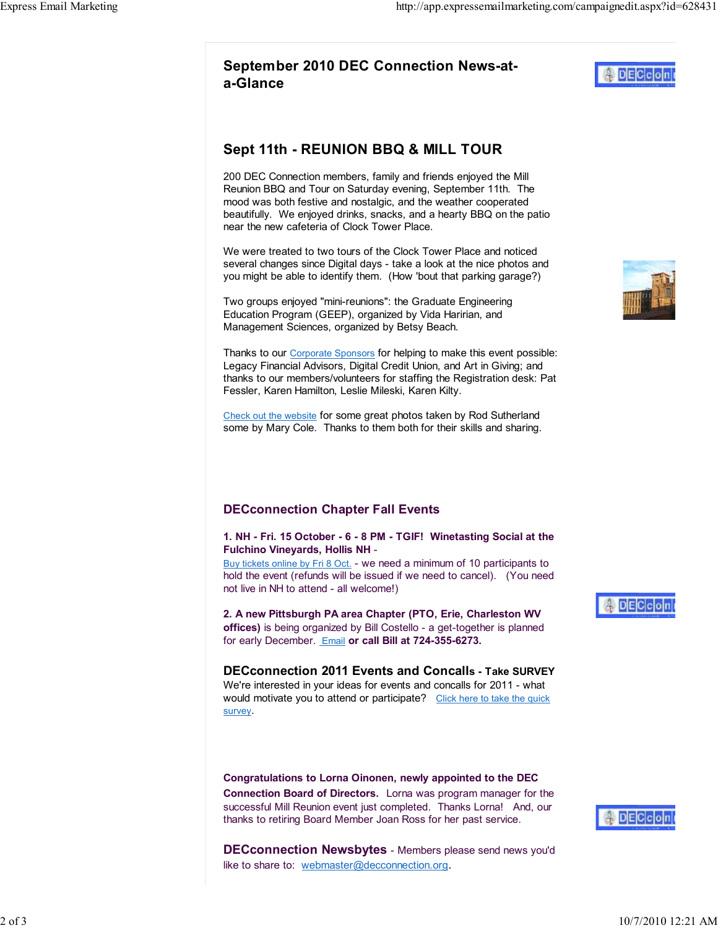## Sept 11th - REUNION BBQ & MILL TOUR

200 DEC Connection members, family and friends enjoyed the Mill Reunion BBQ and Tour on Saturday evening, September 11th. The mood was both festive and nostalgic, and the weather cooperated beautifully. We enjoyed drinks, snacks, and a hearty BBQ on the patio near the new cafeteria of Clock Tower Place.

We were treated to two tours of the Clock Tower Place and noticed several changes since Digital days - take a look at the nice photos and you might be able to identify them. (How 'bout that parking garage?)

Two groups enjoyed "mini-reunions": the Graduate Engineering Education Program (GEEP), organized by Vida Haririan, and Management Sciences, organized by Betsy Beach.

Thanks to our Corporate Sponsors for helping to make this event possible: Legacy Financial Advisors, Digital Credit Union, and Art in Giving; and thanks to our members/volunteers for staffing the Registration desk: Pat Fessler, Karen Hamilton, Leslie Mileski, Karen Kilty.

Check out the website for some great photos taken by Rod Sutherland some by Mary Cole. Thanks to them both for their skills and sharing.

## DECconnection Chapter Fall Events

1. NH - Fri. 15 October - 6 - 8 PM - TGIF! Winetasting Social at the Fulchino Vineyards, Hollis NH -

Buy tickets online by Fri 8 Oct. - we need a minimum of 10 participants to hold the event (refunds will be issued if we need to cancel). (You need not live in NH to attend - all welcome!)

2. A new Pittsburgh PA area Chapter (PTO, Erie, Charleston WV offices) is being organized by Bill Costello - a get-together is planned for early December. Email or call Bill at 724-355-6273.

DECconnection 2011 Events and Concalls - Take SURVEY We're interested in your ideas for events and concalls for 2011 - what would motivate you to attend or participate? Click here to take the quick survey.

Congratulations to Lorna Oinonen, newly appointed to the DEC Connection Board of Directors. Lorna was program manager for the successful Mill Reunion event just completed. Thanks Lorna! And, our thanks to retiring Board Member Joan Ross for her past service.

**DECconnection Newsbytes** - Members please send news you'd like to share to: webmaster@decconnection.org.







**DECco**